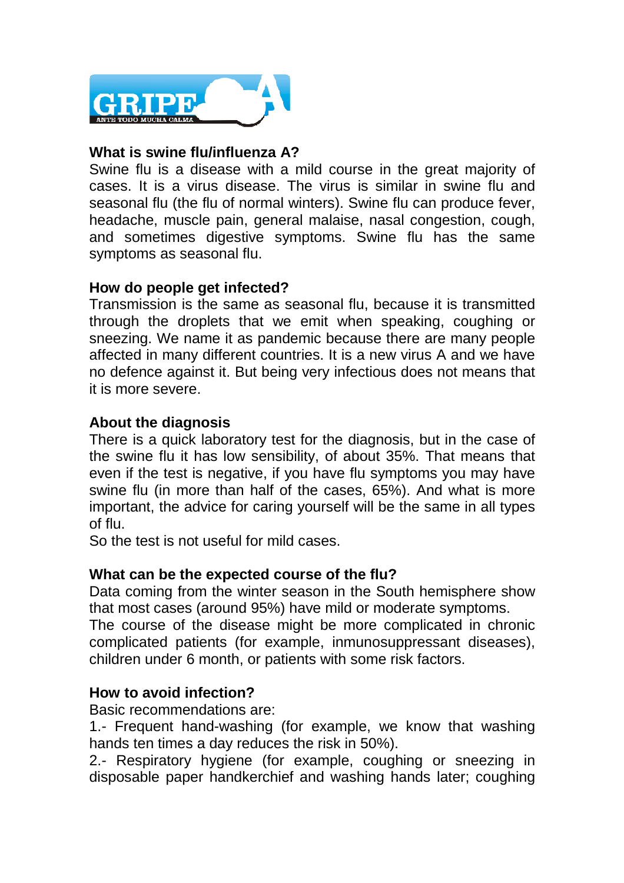

# **What is swine flu/influenza A?**

Swine flu is a disease with a mild course in the great majority of cases. It is a virus disease. The virus is similar in swine flu and seasonal flu (the flu of normal winters). Swine flu can produce fever, headache, muscle pain, general malaise, nasal congestion, cough, and sometimes digestive symptoms. Swine flu has the same symptoms as seasonal flu.

# **How do people get infected?**

Transmission is the same as seasonal flu, because it is transmitted through the droplets that we emit when speaking, coughing or sneezing. We name it as pandemic because there are many people affected in many different countries. It is a new virus A and we have no defence against it. But being very infectious does not means that it is more severe.

## **About the diagnosis**

There is a quick laboratory test for the diagnosis, but in the case of the swine flu it has low sensibility, of about 35%. That means that even if the test is negative, if you have flu symptoms you may have swine flu (in more than half of the cases, 65%). And what is more important, the advice for caring yourself will be the same in all types of flu.

So the test is not useful for mild cases.

# **What can be the expected course of the flu?**

Data coming from the winter season in the South hemisphere show that most cases (around 95%) have mild or moderate symptoms.

The course of the disease might be more complicated in chronic complicated patients (for example, inmunosuppressant diseases), children under 6 month, or patients with some risk factors.

#### **How to avoid infection?**

Basic recommendations are:

1.- Frequent hand-washing (for example, we know that washing hands ten times a day reduces the risk in 50%).

2.- Respiratory hygiene (for example, coughing or sneezing in disposable paper handkerchief and washing hands later; coughing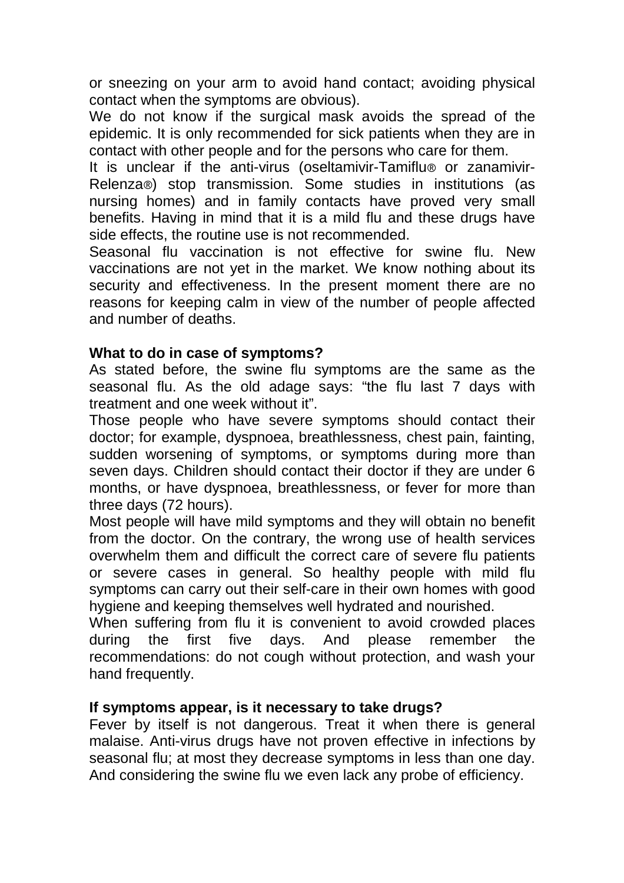or sneezing on your arm to avoid hand contact; avoiding physical contact when the symptoms are obvious).

We do not know if the surgical mask avoids the spread of the epidemic. It is only recommended for sick patients when they are in contact with other people and for the persons who care for them.

It is unclear if the anti-virus (oseltamivir-Tamiflu® or zanamivir-Relenza®) stop transmission. Some studies in institutions (as nursing homes) and in family contacts have proved very small benefits. Having in mind that it is a mild flu and these drugs have side effects, the routine use is not recommended.

Seasonal flu vaccination is not effective for swine flu. New vaccinations are not yet in the market. We know nothing about its security and effectiveness. In the present moment there are no reasons for keeping calm in view of the number of people affected and number of deaths.

## **What to do in case of symptoms?**

As stated before, the swine flu symptoms are the same as the seasonal flu. As the old adage says: "the flu last 7 days with treatment and one week without it".

Those people who have severe symptoms should contact their doctor; for example, dyspnoea, breathlessness, chest pain, fainting, sudden worsening of symptoms, or symptoms during more than seven days. Children should contact their doctor if they are under 6 months, or have dyspnoea, breathlessness, or fever for more than three days (72 hours).

Most people will have mild symptoms and they will obtain no benefit from the doctor. On the contrary, the wrong use of health services overwhelm them and difficult the correct care of severe flu patients or severe cases in general. So healthy people with mild flu symptoms can carry out their self-care in their own homes with good hygiene and keeping themselves well hydrated and nourished.

When suffering from flu it is convenient to avoid crowded places during the first five days. And please remember the recommendations: do not cough without protection, and wash your hand frequently.

#### **If symptoms appear, is it necessary to take drugs?**

Fever by itself is not dangerous. Treat it when there is general malaise. Anti-virus drugs have not proven effective in infections by seasonal flu; at most they decrease symptoms in less than one day. And considering the swine flu we even lack any probe of efficiency.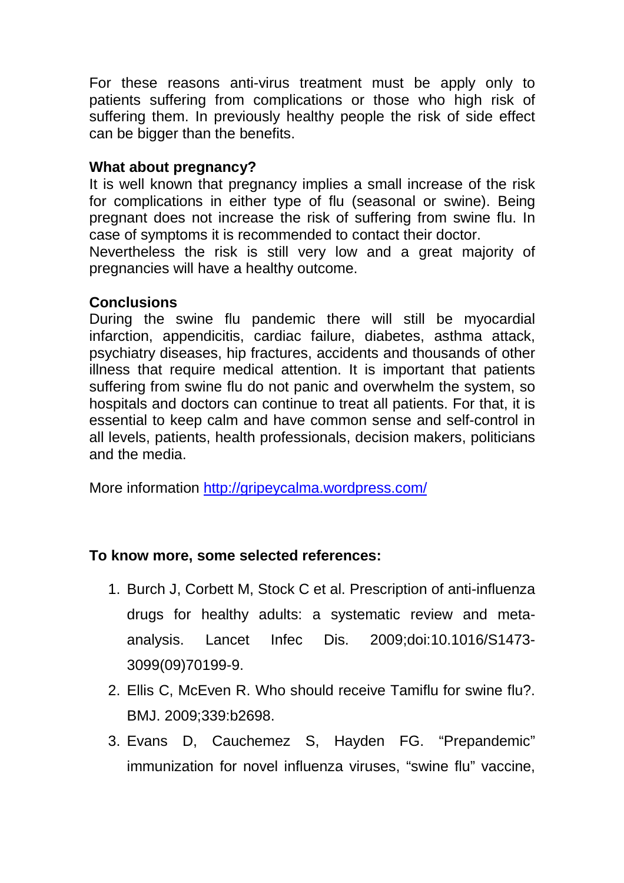For these reasons anti-virus treatment must be apply only to patients suffering from complications or those who high risk of suffering them. In previously healthy people the risk of side effect can be bigger than the benefits.

# **What about pregnancy?**

It is well known that pregnancy implies a small increase of the risk for complications in either type of flu (seasonal or swine). Being pregnant does not increase the risk of suffering from swine flu. In case of symptoms it is recommended to contact their doctor.

Nevertheless the risk is still very low and a great majority of pregnancies will have a healthy outcome.

# **Conclusions**

During the swine flu pandemic there will still be myocardial infarction, appendicitis, cardiac failure, diabetes, asthma attack, psychiatry diseases, hip fractures, accidents and thousands of other illness that require medical attention. It is important that patients suffering from swine flu do not panic and overwhelm the system, so hospitals and doctors can continue to treat all patients. For that, it is essential to keep calm and have common sense and self-control in all levels, patients, health professionals, decision makers, politicians and the media.

More information http://gripeycalma.wordpress.com/

# **To know more, some selected references:**

- 1. Burch J, Corbett M, Stock C et al. Prescription of anti-influenza drugs for healthy adults: a systematic review and metaanalysis. Lancet Infec Dis. 2009;doi:10.1016/S1473- 3099(09)70199-9.
- 2. Ellis C, McEven R. Who should receive Tamiflu for swine flu?. BMJ. 2009;339:b2698.
- 3. Evans D, Cauchemez S, Hayden FG. "Prepandemic" immunization for novel influenza viruses, "swine flu" vaccine,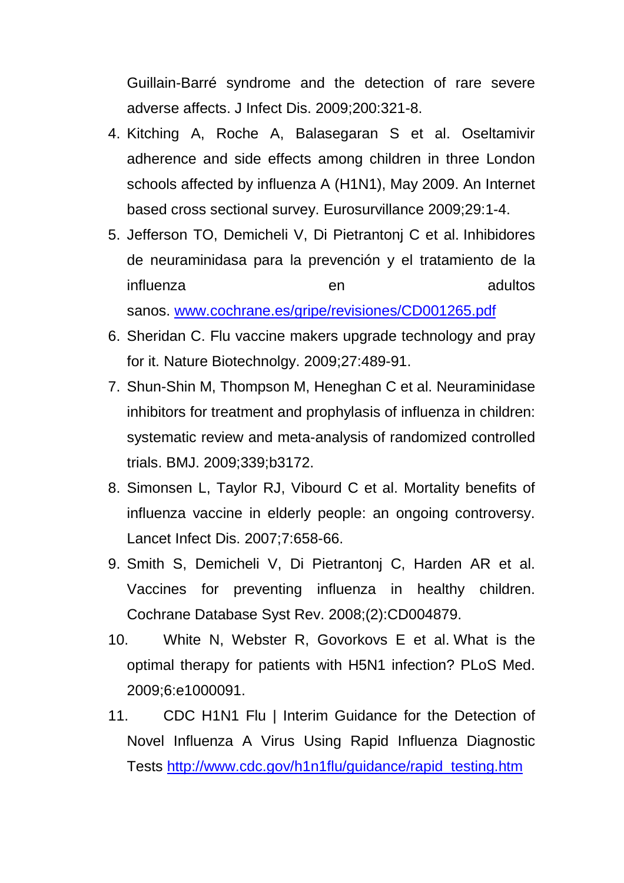Guillain-Barré syndrome and the detection of rare severe adverse affects. J Infect Dis. 2009;200:321-8.

- 4. Kitching A, Roche A, Balasegaran S et al. Oseltamivir adherence and side effects among children in three London schools affected by influenza A (H1N1), May 2009. An Internet based cross sectional survey. Eurosurvillance 2009;29:1-4.
- 5. Jefferson TO, Demicheli V, Di Pietrantonj C et al. Inhibidores de neuraminidasa para la prevención y el tratamiento de la influenza en adultos sanos. www.cochrane.es/gripe/revisiones/CD001265.pdf
- 6. Sheridan C. Flu vaccine makers upgrade technology and pray for it. Nature Biotechnolgy. 2009;27:489-91.
- 7. Shun-Shin M, Thompson M, Heneghan C et al. Neuraminidase inhibitors for treatment and prophylasis of influenza in children: systematic review and meta-analysis of randomized controlled trials. BMJ. 2009;339;b3172.
- 8. Simonsen L, Taylor RJ, Vibourd C et al. Mortality benefits of influenza vaccine in elderly people: an ongoing controversy. Lancet Infect Dis. 2007;7:658-66.
- 9. Smith S, Demicheli V, Di Pietrantonj C, Harden AR et al. Vaccines for preventing influenza in healthy children. Cochrane Database Syst Rev. 2008;(2):CD004879.
- 10. White N, Webster R, Govorkovs E et al. What is the optimal therapy for patients with H5N1 infection? PLoS Med. 2009;6:e1000091.
- 11. CDC H1N1 Flu | Interim Guidance for the Detection of Novel Influenza A Virus Using Rapid Influenza Diagnostic Tests http://www.cdc.gov/h1n1flu/guidance/rapid\_testing.htm